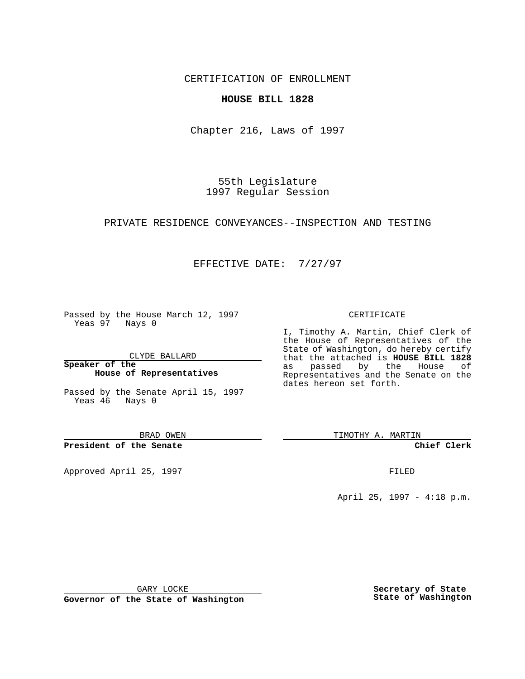CERTIFICATION OF ENROLLMENT

## **HOUSE BILL 1828**

Chapter 216, Laws of 1997

55th Legislature 1997 Regular Session

PRIVATE RESIDENCE CONVEYANCES--INSPECTION AND TESTING

## EFFECTIVE DATE: 7/27/97

Passed by the House March 12, 1997 Yeas 97 Nays 0

CLYDE BALLARD

**Speaker of the House of Representatives**

Passed by the Senate April 15, 1997 Yeas 46 Nays 0

BRAD OWEN

**President of the Senate**

Approved April 25, 1997 **FILED** 

## CERTIFICATE

I, Timothy A. Martin, Chief Clerk of the House of Representatives of the State of Washington, do hereby certify that the attached is **HOUSE BILL 1828** as passed by the House of Representatives and the Senate on the dates hereon set forth.

TIMOTHY A. MARTIN

**Chief Clerk**

April 25, 1997 - 4:18 p.m.

GARY LOCKE

**Governor of the State of Washington**

**Secretary of State State of Washington**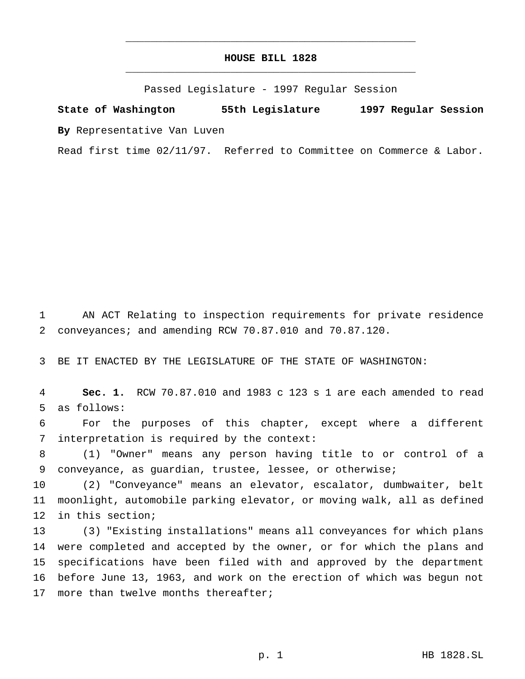## **HOUSE BILL 1828** \_\_\_\_\_\_\_\_\_\_\_\_\_\_\_\_\_\_\_\_\_\_\_\_\_\_\_\_\_\_\_\_\_\_\_\_\_\_\_\_\_\_\_\_\_\_\_

\_\_\_\_\_\_\_\_\_\_\_\_\_\_\_\_\_\_\_\_\_\_\_\_\_\_\_\_\_\_\_\_\_\_\_\_\_\_\_\_\_\_\_\_\_\_\_

Passed Legislature - 1997 Regular Session

**State of Washington 55th Legislature 1997 Regular Session By** Representative Van Luven

Read first time 02/11/97. Referred to Committee on Commerce & Labor.

 AN ACT Relating to inspection requirements for private residence conveyances; and amending RCW 70.87.010 and 70.87.120.

BE IT ENACTED BY THE LEGISLATURE OF THE STATE OF WASHINGTON:

 **Sec. 1.** RCW 70.87.010 and 1983 c 123 s 1 are each amended to read as follows:

 For the purposes of this chapter, except where a different interpretation is required by the context:

 (1) "Owner" means any person having title to or control of a conveyance, as guardian, trustee, lessee, or otherwise;

 (2) "Conveyance" means an elevator, escalator, dumbwaiter, belt moonlight, automobile parking elevator, or moving walk, all as defined in this section;

 (3) "Existing installations" means all conveyances for which plans were completed and accepted by the owner, or for which the plans and specifications have been filed with and approved by the department before June 13, 1963, and work on the erection of which was begun not 17 more than twelve months thereafter;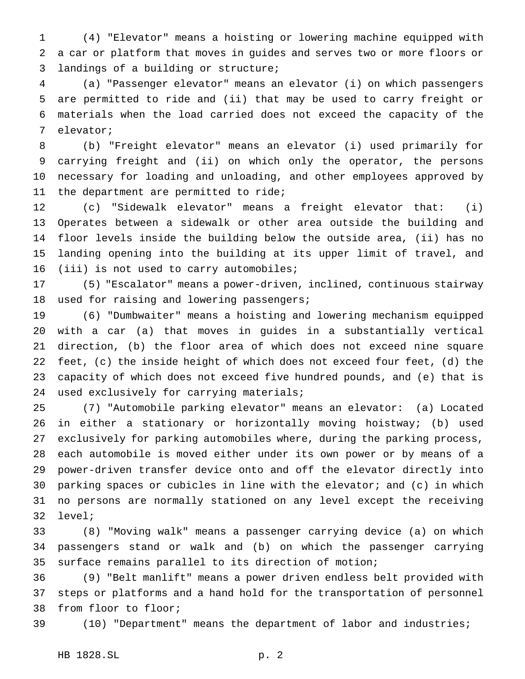(4) "Elevator" means a hoisting or lowering machine equipped with a car or platform that moves in guides and serves two or more floors or landings of a building or structure;

 (a) "Passenger elevator" means an elevator (i) on which passengers are permitted to ride and (ii) that may be used to carry freight or materials when the load carried does not exceed the capacity of the elevator;

 (b) "Freight elevator" means an elevator (i) used primarily for carrying freight and (ii) on which only the operator, the persons necessary for loading and unloading, and other employees approved by the department are permitted to ride;

 (c) "Sidewalk elevator" means a freight elevator that: (i) Operates between a sidewalk or other area outside the building and floor levels inside the building below the outside area, (ii) has no landing opening into the building at its upper limit of travel, and (iii) is not used to carry automobiles;

 (5) "Escalator" means a power-driven, inclined, continuous stairway used for raising and lowering passengers;

 (6) "Dumbwaiter" means a hoisting and lowering mechanism equipped with a car (a) that moves in guides in a substantially vertical direction, (b) the floor area of which does not exceed nine square feet, (c) the inside height of which does not exceed four feet, (d) the capacity of which does not exceed five hundred pounds, and (e) that is used exclusively for carrying materials;

 (7) "Automobile parking elevator" means an elevator: (a) Located in either a stationary or horizontally moving hoistway; (b) used exclusively for parking automobiles where, during the parking process, each automobile is moved either under its own power or by means of a power-driven transfer device onto and off the elevator directly into parking spaces or cubicles in line with the elevator; and (c) in which no persons are normally stationed on any level except the receiving level;

 (8) "Moving walk" means a passenger carrying device (a) on which passengers stand or walk and (b) on which the passenger carrying surface remains parallel to its direction of motion;

 (9) "Belt manlift" means a power driven endless belt provided with steps or platforms and a hand hold for the transportation of personnel from floor to floor;

(10) "Department" means the department of labor and industries;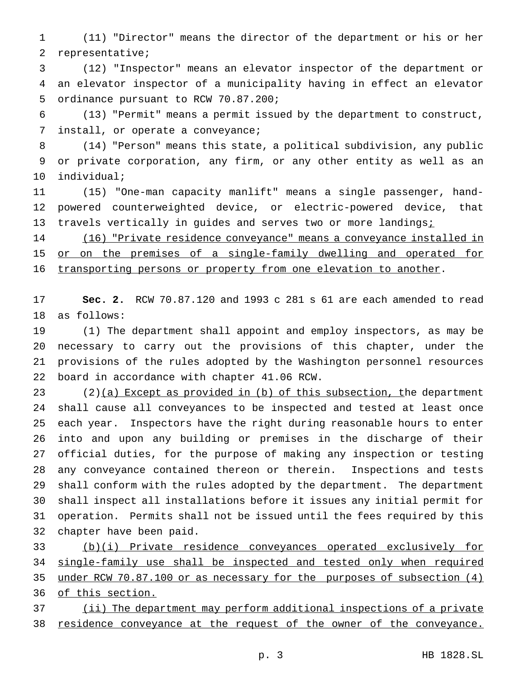(11) "Director" means the director of the department or his or her representative;

 (12) "Inspector" means an elevator inspector of the department or an elevator inspector of a municipality having in effect an elevator ordinance pursuant to RCW 70.87.200;

 (13) "Permit" means a permit issued by the department to construct, install, or operate a conveyance;

 (14) "Person" means this state, a political subdivision, any public or private corporation, any firm, or any other entity as well as an individual;

 (15) "One-man capacity manlift" means a single passenger, hand- powered counterweighted device, or electric-powered device, that 13 travels vertically in guides and serves two or more landingsi

 (16) "Private residence conveyance" means a conveyance installed in 15 or on the premises of a single-family dwelling and operated for transporting persons or property from one elevation to another.

 **Sec. 2.** RCW 70.87.120 and 1993 c 281 s 61 are each amended to read as follows:

 (1) The department shall appoint and employ inspectors, as may be necessary to carry out the provisions of this chapter, under the provisions of the rules adopted by the Washington personnel resources board in accordance with chapter 41.06 RCW.

23 (2)(a) Except as provided in (b) of this subsection, the department shall cause all conveyances to be inspected and tested at least once each year. Inspectors have the right during reasonable hours to enter into and upon any building or premises in the discharge of their official duties, for the purpose of making any inspection or testing any conveyance contained thereon or therein. Inspections and tests shall conform with the rules adopted by the department. The department shall inspect all installations before it issues any initial permit for operation. Permits shall not be issued until the fees required by this chapter have been paid.

 (b)(i) Private residence conveyances operated exclusively for single-family use shall be inspected and tested only when required under RCW 70.87.100 or as necessary for the purposes of subsection (4) of this section.

 (ii) The department may perform additional inspections of a private 38 residence conveyance at the request of the owner of the conveyance.